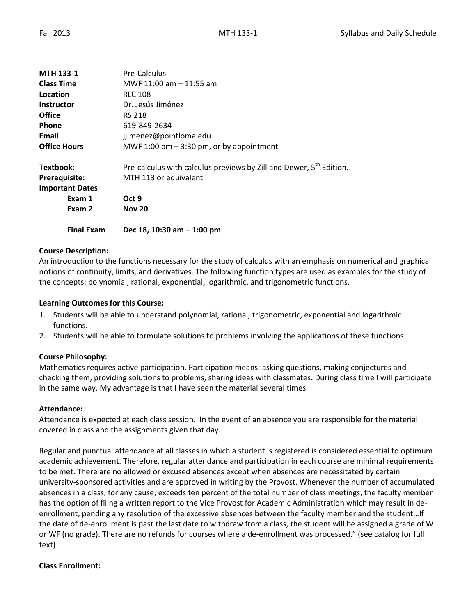| <b>MTH 133-1</b>       | Pre-Calculus                                                                    |
|------------------------|---------------------------------------------------------------------------------|
| <b>Class Time</b>      | MWF 11:00 am - 11:55 am                                                         |
| Location               | <b>RLC 108</b>                                                                  |
| <b>Instructor</b>      | Dr. Jesús Jiménez                                                               |
| <b>Office</b>          | <b>RS 218</b>                                                                   |
| <b>Phone</b>           | 619-849-2634                                                                    |
| Email                  | jjimenez@pointloma.edu                                                          |
| <b>Office Hours</b>    | MWF 1:00 pm $-$ 3:30 pm, or by appointment                                      |
| Textbook:              | Pre-calculus with calculus previews by Zill and Dewer, 5 <sup>th</sup> Edition. |
| <b>Prerequisite:</b>   | MTH 113 or equivalent                                                           |
| <b>Important Dates</b> |                                                                                 |
| Exam 1                 | Oct 9                                                                           |
| Exam 2                 | <b>Nov 20</b>                                                                   |
| <b>Final Exam</b>      | Dec 18, 10:30 am $-$ 1:00 pm                                                    |

## **Course Description:**

An introduction to the functions necessary for the study of calculus with an emphasis on numerical and graphical notions of continuity, limits, and derivatives. The following function types are used as examples for the study of the concepts: polynomial, rational, exponential, logarithmic, and trigonometric functions.

## **Learning Outcomes for this Course:**

- 1. Students will be able to understand polynomial, rational, trigonometric, exponential and logarithmic functions.
- 2. Students will be able to formulate solutions to problems involving the applications of these functions.

## **Course Philosophy:**

Mathematics requires active participation. Participation means: asking questions, making conjectures and checking them, providing solutions to problems, sharing ideas with classmates. During class time I will participate in the same way. My advantage is that I have seen the material several times.

#### **Attendance:**

Attendance is expected at each class session. In the event of an absence you are responsible for the material covered in class and the assignments given that day.

Regular and punctual attendance at all classes in which a student is registered is considered essential to optimum academic achievement. Therefore, regular attendance and participation in each course are minimal requirements to be met. There are no allowed or excused absences except when absences are necessitated by certain university-sponsored activities and are approved in writing by the Provost. Whenever the number of accumulated absences in a class, for any cause, exceeds ten percent of the total number of class meetings, the faculty member has the option of filing a written report to the Vice Provost for Academic Administration which may result in deenrollment, pending any resolution of the excessive absences between the faculty member and the student…If the date of de-enrollment is past the last date to withdraw from a class, the student will be assigned a grade of W or WF (no grade). There are no refunds for courses where a de-enrollment was processed." (see catalog for full text)

## **Class Enrollment:**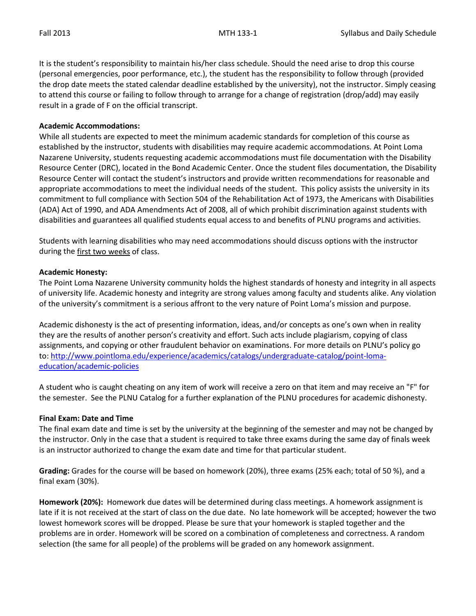It is the student's responsibility to maintain his/her class schedule. Should the need arise to drop this course (personal emergencies, poor performance, etc.), the student has the responsibility to follow through (provided the drop date meets the stated calendar deadline established by the university), not the instructor. Simply ceasing to attend this course or failing to follow through to arrange for a change of registration (drop/add) may easily result in a grade of F on the official transcript.

### **Academic Accommodations:**

While all students are expected to meet the minimum academic standards for completion of this course as established by the instructor, students with disabilities may require academic accommodations. At Point Loma Nazarene University, students requesting academic accommodations must file documentation with the Disability Resource Center (DRC), located in the Bond Academic Center. Once the student files documentation, the Disability Resource Center will contact the student's instructors and provide written recommendations for reasonable and appropriate accommodations to meet the individual needs of the student. This policy assists the university in its commitment to full compliance with Section 504 of the Rehabilitation Act of 1973, the Americans with Disabilities (ADA) Act of 1990, and ADA Amendments Act of 2008, all of which prohibit discrimination against students with disabilities and guarantees all qualified students equal access to and benefits of PLNU programs and activities.

Students with learning disabilities who may need accommodations should discuss options with the instructor during the first two weeks of class.

### **Academic Honesty:**

The Point Loma Nazarene University community holds the highest standards of honesty and integrity in all aspects of university life. Academic honesty and integrity are strong values among faculty and students alike. Any violation of the university's commitment is a serious affront to the very nature of Point Loma's mission and purpose.

Academic dishonesty is the act of presenting information, ideas, and/or concepts as one's own when in reality they are the results of another person's creativity and effort. Such acts include plagiarism, copying of class assignments, and copying or other fraudulent behavior on examinations. For more details on PLNU's policy go to: [http://www.pointloma.edu/experience/academics/catalogs/undergraduate-catalog/point-loma](http://www.pointloma.edu/experience/academics/catalogs/undergraduate-catalog/point-loma-education/academic-policies)[education/academic-policies](http://www.pointloma.edu/experience/academics/catalogs/undergraduate-catalog/point-loma-education/academic-policies)

A student who is caught cheating on any item of work will receive a zero on that item and may receive an "F" for the semester. See the PLNU Catalog for a further explanation of the PLNU procedures for academic dishonesty.

## **Final Exam: Date and Time**

The final exam date and time is set by the university at the beginning of the semester and may not be changed by the instructor. Only in the case that a student is required to take three exams during the same day of finals week is an instructor authorized to change the exam date and time for that particular student.

**Grading:** Grades for the course will be based on homework (20%), three exams (25% each; total of 50 %), and a final exam (30%).

**Homework (20%):** Homework due dates will be determined during class meetings. A homework assignment is late if it is not received at the start of class on the due date. No late homework will be accepted; however the two lowest homework scores will be dropped. Please be sure that your homework is stapled together and the problems are in order. Homework will be scored on a combination of completeness and correctness. A random selection (the same for all people) of the problems will be graded on any homework assignment.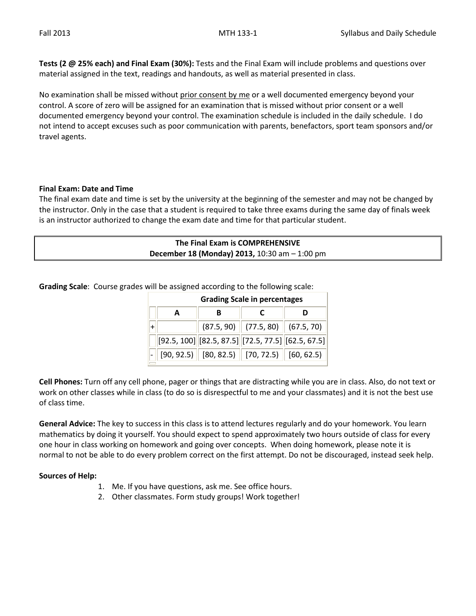**Tests (2 @ 25% each) and Final Exam (30%):** Tests and the Final Exam will include problems and questions over material assigned in the text, readings and handouts, as well as material presented in class.

No examination shall be missed without prior consent by me or a well documented emergency beyond your control. A score of zero will be assigned for an examination that is missed without prior consent or a well documented emergency beyond your control. The examination schedule is included in the daily schedule. I do not intend to accept excuses such as poor communication with parents, benefactors, sport team sponsors and/or travel agents.

## **Final Exam: Date and Time**

The final exam date and time is set by the university at the beginning of the semester and may not be changed by the instructor. Only in the case that a student is required to take three exams during the same day of finals week is an instructor authorized to change the exam date and time for that particular student.

| The Final Exam is COMPREHENSIVE<br><b>December 18 (Monday) 2013, 10:30 am <math>-</math> 1:00 pm</b> |  |  |  |
|------------------------------------------------------------------------------------------------------|--|--|--|
|------------------------------------------------------------------------------------------------------|--|--|--|

**Grading Scale**: Course grades will be assigned according to the following scale:

| <b>Grading Scale in percentages</b> |   |                                                            |   |  |  |
|-------------------------------------|---|------------------------------------------------------------|---|--|--|
| A                                   | в |                                                            | D |  |  |
|                                     |   | $(87.5, 90)$ (77.5, 80) (67.5, 70)                         |   |  |  |
|                                     |   | $[92.5, 100]$ $[82.5, 87.5]$ $[72.5, 77.5]$ $[62.5, 67.5]$ |   |  |  |
|                                     |   | $[90, 92.5)$ $[80, 82.5)$ $[70, 72.5)$ $[60, 62.5)$        |   |  |  |

**Cell Phones:** Turn off any cell phone, pager or things that are distracting while you are in class. Also, do not text or work on other classes while in class (to do so is disrespectful to me and your classmates) and it is not the best use of class time.

**General Advice:** The key to success in this class is to attend lectures regularly and do your homework. You learn mathematics by doing it yourself. You should expect to spend approximately two hours outside of class for every one hour in class working on homework and going over concepts. When doing homework, please note it is normal to not be able to do every problem correct on the first attempt. Do not be discouraged, instead seek help.

## **Sources of Help:**

- 1. Me. If you have questions, ask me. See office hours.
- 2. Other classmates. Form study groups! Work together!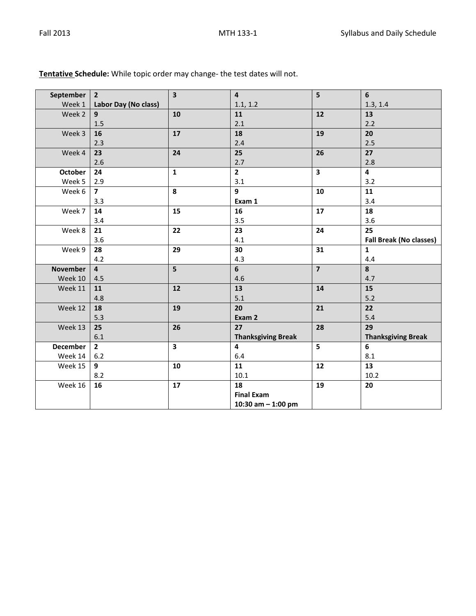| Week 1<br>Labor Day (No class)<br>1.1, 1.2<br>1.3, 1.4<br>Week 2<br>11<br>12<br>13<br>9<br>10<br>2.1<br>2.2<br>1.5<br>20<br>Week 3<br>17<br>18<br>19<br>16<br>2.4<br>2.5<br>2.3<br>25<br>26<br>27<br>Week 4<br>24<br>23<br>2.6<br>2.7<br>2.8<br>$\overline{\mathbf{2}}$<br>$\overline{\mathbf{4}}$<br>24<br>$\overline{\mathbf{3}}$<br><b>October</b><br>$\mathbf{1}$<br>Week 5<br>2.9<br>3.1<br>3.2<br>9<br>11<br>Week 6<br>$\overline{\mathbf{z}}$<br>8<br>10<br>3.4<br>3.3<br>Exam 1<br>17<br>18<br>Week 7<br>14<br>16<br>15<br>3.5<br>3.6<br>3.4<br>Week 8<br>23<br>24<br>25<br>22<br>21<br>3.6<br>4.1<br><b>Fall Break (No classes)</b><br>31<br>Week 9<br>29<br>30<br>$\mathbf{1}$<br>28<br>4.2<br>4.3<br>4.4<br>$6\phantom{a}$<br>$\overline{7}$<br>8<br>5<br><b>November</b><br>$\overline{4}$<br>Week 10<br>4.6<br>4.7<br>4.5<br>13<br>15<br>12<br>14<br>Week 11<br>11<br>5.1<br>$5.2$<br>4.8<br>Week 12<br>19<br>21<br>22<br>20<br>18<br>5.3<br>Exam 2<br>5.4<br>26<br>27<br>28<br>29<br>Week 13<br>25<br>6.1<br><b>Thanksgiving Break</b><br><b>Thanksgiving Break</b><br><b>December</b><br>$\overline{\mathbf{3}}$<br>$\overline{\mathbf{4}}$<br>5<br>6<br>$2^{\circ}$<br>Week 14<br>$6.2$<br>8.1<br>6.4<br>13<br>Week 15<br>9<br>10<br>11<br>12<br>10.1<br>10.2<br>8.2<br>Week 16<br>17<br>18<br>19<br>16<br>20<br><b>Final Exam</b><br>10:30 am $-$ 1:00 pm |           |                | $\overline{\mathbf{3}}$ | $\overline{4}$ | 5 |   |
|----------------------------------------------------------------------------------------------------------------------------------------------------------------------------------------------------------------------------------------------------------------------------------------------------------------------------------------------------------------------------------------------------------------------------------------------------------------------------------------------------------------------------------------------------------------------------------------------------------------------------------------------------------------------------------------------------------------------------------------------------------------------------------------------------------------------------------------------------------------------------------------------------------------------------------------------------------------------------------------------------------------------------------------------------------------------------------------------------------------------------------------------------------------------------------------------------------------------------------------------------------------------------------------------------------------------------------------------------------------------------|-----------|----------------|-------------------------|----------------|---|---|
|                                                                                                                                                                                                                                                                                                                                                                                                                                                                                                                                                                                                                                                                                                                                                                                                                                                                                                                                                                                                                                                                                                                                                                                                                                                                                                                                                                            | September | $\overline{2}$ |                         |                |   | 6 |
|                                                                                                                                                                                                                                                                                                                                                                                                                                                                                                                                                                                                                                                                                                                                                                                                                                                                                                                                                                                                                                                                                                                                                                                                                                                                                                                                                                            |           |                |                         |                |   |   |
|                                                                                                                                                                                                                                                                                                                                                                                                                                                                                                                                                                                                                                                                                                                                                                                                                                                                                                                                                                                                                                                                                                                                                                                                                                                                                                                                                                            |           |                |                         |                |   |   |
|                                                                                                                                                                                                                                                                                                                                                                                                                                                                                                                                                                                                                                                                                                                                                                                                                                                                                                                                                                                                                                                                                                                                                                                                                                                                                                                                                                            |           |                |                         |                |   |   |
|                                                                                                                                                                                                                                                                                                                                                                                                                                                                                                                                                                                                                                                                                                                                                                                                                                                                                                                                                                                                                                                                                                                                                                                                                                                                                                                                                                            |           |                |                         |                |   |   |
|                                                                                                                                                                                                                                                                                                                                                                                                                                                                                                                                                                                                                                                                                                                                                                                                                                                                                                                                                                                                                                                                                                                                                                                                                                                                                                                                                                            |           |                |                         |                |   |   |
|                                                                                                                                                                                                                                                                                                                                                                                                                                                                                                                                                                                                                                                                                                                                                                                                                                                                                                                                                                                                                                                                                                                                                                                                                                                                                                                                                                            |           |                |                         |                |   |   |
|                                                                                                                                                                                                                                                                                                                                                                                                                                                                                                                                                                                                                                                                                                                                                                                                                                                                                                                                                                                                                                                                                                                                                                                                                                                                                                                                                                            |           |                |                         |                |   |   |
|                                                                                                                                                                                                                                                                                                                                                                                                                                                                                                                                                                                                                                                                                                                                                                                                                                                                                                                                                                                                                                                                                                                                                                                                                                                                                                                                                                            |           |                |                         |                |   |   |
|                                                                                                                                                                                                                                                                                                                                                                                                                                                                                                                                                                                                                                                                                                                                                                                                                                                                                                                                                                                                                                                                                                                                                                                                                                                                                                                                                                            |           |                |                         |                |   |   |
|                                                                                                                                                                                                                                                                                                                                                                                                                                                                                                                                                                                                                                                                                                                                                                                                                                                                                                                                                                                                                                                                                                                                                                                                                                                                                                                                                                            |           |                |                         |                |   |   |
|                                                                                                                                                                                                                                                                                                                                                                                                                                                                                                                                                                                                                                                                                                                                                                                                                                                                                                                                                                                                                                                                                                                                                                                                                                                                                                                                                                            |           |                |                         |                |   |   |
|                                                                                                                                                                                                                                                                                                                                                                                                                                                                                                                                                                                                                                                                                                                                                                                                                                                                                                                                                                                                                                                                                                                                                                                                                                                                                                                                                                            |           |                |                         |                |   |   |
|                                                                                                                                                                                                                                                                                                                                                                                                                                                                                                                                                                                                                                                                                                                                                                                                                                                                                                                                                                                                                                                                                                                                                                                                                                                                                                                                                                            |           |                |                         |                |   |   |
|                                                                                                                                                                                                                                                                                                                                                                                                                                                                                                                                                                                                                                                                                                                                                                                                                                                                                                                                                                                                                                                                                                                                                                                                                                                                                                                                                                            |           |                |                         |                |   |   |
|                                                                                                                                                                                                                                                                                                                                                                                                                                                                                                                                                                                                                                                                                                                                                                                                                                                                                                                                                                                                                                                                                                                                                                                                                                                                                                                                                                            |           |                |                         |                |   |   |
|                                                                                                                                                                                                                                                                                                                                                                                                                                                                                                                                                                                                                                                                                                                                                                                                                                                                                                                                                                                                                                                                                                                                                                                                                                                                                                                                                                            |           |                |                         |                |   |   |
|                                                                                                                                                                                                                                                                                                                                                                                                                                                                                                                                                                                                                                                                                                                                                                                                                                                                                                                                                                                                                                                                                                                                                                                                                                                                                                                                                                            |           |                |                         |                |   |   |
|                                                                                                                                                                                                                                                                                                                                                                                                                                                                                                                                                                                                                                                                                                                                                                                                                                                                                                                                                                                                                                                                                                                                                                                                                                                                                                                                                                            |           |                |                         |                |   |   |
|                                                                                                                                                                                                                                                                                                                                                                                                                                                                                                                                                                                                                                                                                                                                                                                                                                                                                                                                                                                                                                                                                                                                                                                                                                                                                                                                                                            |           |                |                         |                |   |   |
|                                                                                                                                                                                                                                                                                                                                                                                                                                                                                                                                                                                                                                                                                                                                                                                                                                                                                                                                                                                                                                                                                                                                                                                                                                                                                                                                                                            |           |                |                         |                |   |   |
|                                                                                                                                                                                                                                                                                                                                                                                                                                                                                                                                                                                                                                                                                                                                                                                                                                                                                                                                                                                                                                                                                                                                                                                                                                                                                                                                                                            |           |                |                         |                |   |   |
|                                                                                                                                                                                                                                                                                                                                                                                                                                                                                                                                                                                                                                                                                                                                                                                                                                                                                                                                                                                                                                                                                                                                                                                                                                                                                                                                                                            |           |                |                         |                |   |   |
|                                                                                                                                                                                                                                                                                                                                                                                                                                                                                                                                                                                                                                                                                                                                                                                                                                                                                                                                                                                                                                                                                                                                                                                                                                                                                                                                                                            |           |                |                         |                |   |   |
|                                                                                                                                                                                                                                                                                                                                                                                                                                                                                                                                                                                                                                                                                                                                                                                                                                                                                                                                                                                                                                                                                                                                                                                                                                                                                                                                                                            |           |                |                         |                |   |   |
|                                                                                                                                                                                                                                                                                                                                                                                                                                                                                                                                                                                                                                                                                                                                                                                                                                                                                                                                                                                                                                                                                                                                                                                                                                                                                                                                                                            |           |                |                         |                |   |   |
|                                                                                                                                                                                                                                                                                                                                                                                                                                                                                                                                                                                                                                                                                                                                                                                                                                                                                                                                                                                                                                                                                                                                                                                                                                                                                                                                                                            |           |                |                         |                |   |   |
|                                                                                                                                                                                                                                                                                                                                                                                                                                                                                                                                                                                                                                                                                                                                                                                                                                                                                                                                                                                                                                                                                                                                                                                                                                                                                                                                                                            |           |                |                         |                |   |   |
|                                                                                                                                                                                                                                                                                                                                                                                                                                                                                                                                                                                                                                                                                                                                                                                                                                                                                                                                                                                                                                                                                                                                                                                                                                                                                                                                                                            |           |                |                         |                |   |   |
|                                                                                                                                                                                                                                                                                                                                                                                                                                                                                                                                                                                                                                                                                                                                                                                                                                                                                                                                                                                                                                                                                                                                                                                                                                                                                                                                                                            |           |                |                         |                |   |   |
|                                                                                                                                                                                                                                                                                                                                                                                                                                                                                                                                                                                                                                                                                                                                                                                                                                                                                                                                                                                                                                                                                                                                                                                                                                                                                                                                                                            |           |                |                         |                |   |   |
|                                                                                                                                                                                                                                                                                                                                                                                                                                                                                                                                                                                                                                                                                                                                                                                                                                                                                                                                                                                                                                                                                                                                                                                                                                                                                                                                                                            |           |                |                         |                |   |   |
|                                                                                                                                                                                                                                                                                                                                                                                                                                                                                                                                                                                                                                                                                                                                                                                                                                                                                                                                                                                                                                                                                                                                                                                                                                                                                                                                                                            |           |                |                         |                |   |   |
|                                                                                                                                                                                                                                                                                                                                                                                                                                                                                                                                                                                                                                                                                                                                                                                                                                                                                                                                                                                                                                                                                                                                                                                                                                                                                                                                                                            |           |                |                         |                |   |   |

# **Tentative Schedule:** While topic order may change- the test dates will not.